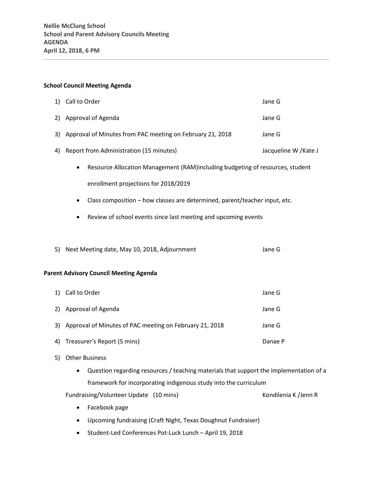## **School Council Meeting Agenda**

| 1)                                            | Call to Order                                                                              | Jane G                |
|-----------------------------------------------|--------------------------------------------------------------------------------------------|-----------------------|
| 2)                                            | Approval of Agenda                                                                         | Jane G                |
| 3)                                            | Approval of Minutes from PAC meeting on February 21, 2018                                  | Jane G                |
| 4)                                            | Report from Administration (15 minutes)                                                    | Jacqueline W / Kate J |
|                                               | Resource Allocation Management (RAM)including budgeting of resources, student<br>$\bullet$ |                       |
|                                               | enrollment projections for 2018/2019                                                       |                       |
|                                               | Class composition - how classes are determined, parent/teacher input, etc.<br>٠            |                       |
|                                               | Review of school events since last meeting and upcoming events<br>٠                        |                       |
|                                               |                                                                                            |                       |
| 5)                                            | Next Meeting date, May 10, 2018, Adjournment                                               | Jane G                |
|                                               |                                                                                            |                       |
| <b>Parent Advisory Council Meeting Agenda</b> |                                                                                            |                       |
| 1)                                            | Call to Order                                                                              | Jane G                |
| 2)                                            | Approval of Agenda                                                                         | Jane G                |
| 3)                                            | Approval of Minutes of PAC meeting on February 21, 2018                                    | Jane G                |
| 4)                                            | Treasurer's Report (5 mins)                                                                | Danae P               |

- 5) Other Business
	- Question regarding resources / teaching materials that support the implementation of a framework for incorporating indigenous study into the curriculum
	- Fundraising/Volunteer Update (10 mins) Kondilenia K /Jenn R
		-

- Facebook page
- Upcoming fundraising (Craft Night, Texas Doughnut Fundraiser)
- Student-Led Conferences Pot-Luck Lunch April 19, 2018